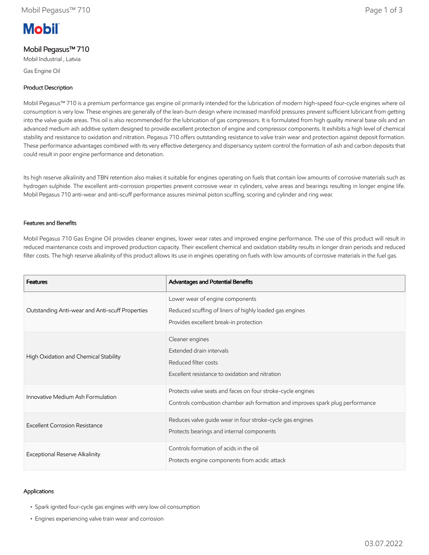# **Mobil**

# Mobil Pegasus™ 710

Mobil Industrial , Latvia

Gas Engine Oil

#### Product Description

Mobil Pegasus™ 710 is a premium performance gas engine oil primarily intended for the lubrication of modern high-speed four-cycle engines where oil consumption is very low. These engines are generally of the lean-burn design where increased manifold pressures prevent sufficient lubricant from getting into the valve guide areas. This oil is also recommended for the lubrication of gas compressors. It is formulated from high quality mineral base oils and an advanced medium ash additive system designed to provide excellent protection of engine and compressor components. It exhibits a high level of chemical stability and resistance to oxidation and nitration. Pegasus 710 offers outstanding resistance to valve train wear and protection against deposit formation. These performance advantages combined with its very effective detergency and dispersancy system control the formation of ash and carbon deposits that could result in poor engine performance and detonation.

Its high reserve alkalinity and TBN retention also makes it suitable for engines operating on fuels that contain low amounts of corrosive materials such as hydrogen sulphide. The excellent anti-corrosion properties prevent corrosive wear in cylinders, valve areas and bearings resulting in longer engine life. Mobil Pegasus 710 anti-wear and anti-scuff performance assures minimal piston scuffing, scoring and cylinder and ring wear.

#### Features and Benefits

Mobil Pegasus 710 Gas Engine Oil provides cleaner engines, lower wear rates and improved engine performance. The use of this product will result in reduced maintenance costs and improved production capacity. Their excellent chemical and oxidation stability results in longer drain periods and reduced filter costs. The high reserve alkalinity of this product allows its use in engines operating on fuels with low amounts of corrosive materials in the fuel gas.

| <b>Features</b>                                 | Advantages and Potential Benefits                                                                                                            |
|-------------------------------------------------|----------------------------------------------------------------------------------------------------------------------------------------------|
| Outstanding Anti-wear and Anti-scuff Properties | Lower wear of engine components<br>Reduced scuffing of liners of highly loaded gas engines<br>Provides excellent break-in protection         |
| High Oxidation and Chemical Stability           | Cleaner engines<br>Extended drain intervals<br>Reduced filter costs<br>Excellent resistance to oxidation and nitration                       |
| Innovative Medium Ash Formulation               | Protects valve seats and faces on four stroke-cycle engines<br>Controls combustion chamber ash formation and improves spark plug performance |
| Excellent Corrosion Resistance                  | Reduces valve guide wear in four stroke-cycle gas engines<br>Protects bearings and internal components                                       |
| Exceptional Reserve Alkalinity                  | Controls formation of acids in the oil<br>Protects engine components from acidic attack                                                      |

#### Applications

- Spark ignited four-cycle gas engines with very low oil consumption
- Engines experiencing valve train wear and corrosion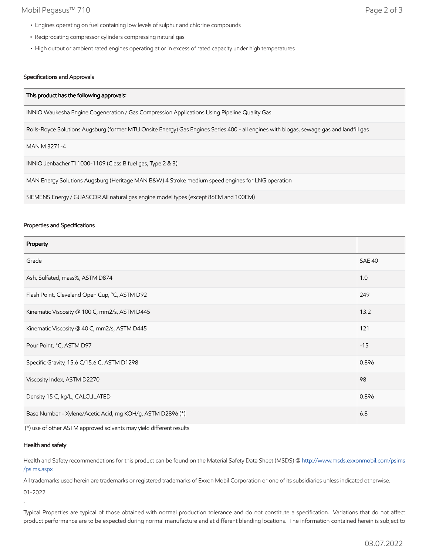### Mobil Pegasus™ 710 Page 2 of 3

- Engines operating on fuel containing low levels of sulphur and chlorine compounds
- Reciprocating compressor cylinders compressing natural gas
- High output or ambient rated engines operating at or in excess of rated capacity under high temperatures

## Specifications and Approvals

| This product has the following approvals:                                                                                               |
|-----------------------------------------------------------------------------------------------------------------------------------------|
| INNIO Waukesha Engine Cogeneration / Gas Compression Applications Using Pipeline Quality Gas                                            |
| Rolls-Royce Solutions Augsburg (former MTU Onsite Energy) Gas Engines Series 400 - all engines with biogas, sewage gas and landfill gas |
| MAN M 3271-4                                                                                                                            |
| INNIO Jenbacher TI 1000-1109 (Class B fuel gas, Type 2 & 3)                                                                             |
| MAN Energy Solutions Augsburg (Heritage MAN B&W) 4 Stroke medium speed engines for LNG operation                                        |
| SIEMENS Energy / GUASCOR All natural gas engine model types (except 86EM and 100EM)                                                     |

#### Properties and Specifications

| Property                                                   |               |
|------------------------------------------------------------|---------------|
| Grade                                                      | <b>SAE 40</b> |
| Ash, Sulfated, mass%, ASTM D874                            | 1.0           |
| Flash Point, Cleveland Open Cup, °C, ASTM D92              | 249           |
| Kinematic Viscosity @ 100 C, mm2/s, ASTM D445              |               |
| Kinematic Viscosity @ 40 C, mm2/s, ASTM D445               | 121           |
| Pour Point, °C, ASTM D97                                   | $-15$         |
| Specific Gravity, 15.6 C/15.6 C, ASTM D1298                | 0.896         |
| Viscosity Index, ASTM D2270                                |               |
| Density 15 C, kg/L, CALCULATED                             | 0.896         |
| Base Number - Xylene/Acetic Acid, mg KOH/g, ASTM D2896 (*) |               |

(\*) use of other ASTM approved solvents may yield different results

#### Health and safety

Health and Safety recommendations for this product can be found on the Material Safety Data Sheet (MSDS) @ [http://www.msds.exxonmobil.com/psims](http://www.msds.exxonmobil.com/psims/psims.aspx) /psims.aspx

All trademarks used herein are trademarks or registered trademarks of Exxon Mobil Corporation or one of its subsidiaries unless indicated otherwise.

01-2022

.

Typical Properties are typical of those obtained with normal production tolerance and do not constitute a specification. Variations that do not affect product performance are to be expected during normal manufacture and at different blending locations. The information contained herein is subject to